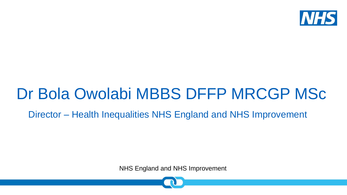

## Dr Bola Owolabi MBBS DFFP MRCGP MSc

### Director – Health Inequalities NHS England and NHS Improvement

NHS England and NHS Improvement

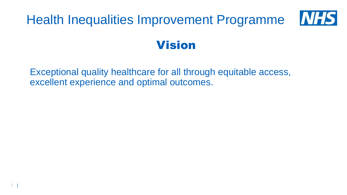

Exceptional quality healthcare for all through equitable access, excellent experience and optimal outcomes.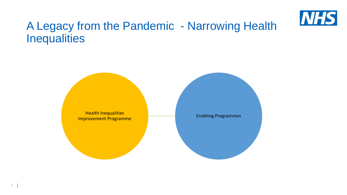

## A Legacy from the Pandemic - Narrowing Health **Inequalities**

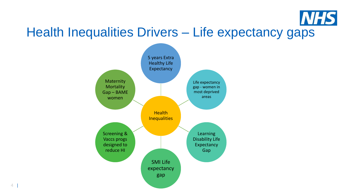

## Health Inequalities Drivers – Life expectancy gaps

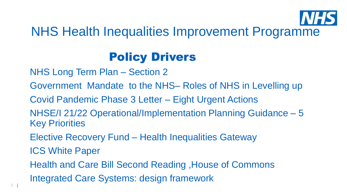

## NHS Health Inequalities Improvement Programme

## Policy Drivers

NHS Long Term Plan – Section 2

Government Mandate to the NHS– Roles of NHS in Levelling up

Covid Pandemic Phase 3 Letter – Eight Urgent Actions

NHSE/I 21/22 Operational/Implementation Planning Guidance – 5 Key Priorities

Elective Recovery Fund – Health Inequalities Gateway

ICS White Paper

Health and Care Bill Second Reading ,House of Commons

Integrated Care Systems: design framework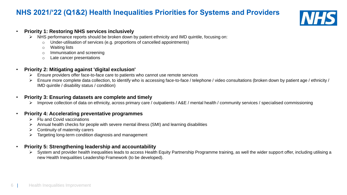#### **NHS 2021/'22 (Q1&2) Health Inequalities Priorities for Systems and Providers**



#### • **Priority 1: Restoring NHS services inclusively**

- ➢ NHS performance reports should be broken down by patient ethnicity and IMD quintile, focusing on:
	- o Under-utilisation of services (e.g. proportions of cancelled appointments)
	- o Waiting lists
	- o Immunisation and screening
	- o Late cancer presentations

#### • **Priority 2: Mitigating against 'digital exclusion'**

- ➢ Ensure providers offer face-to-face care to patients who cannot use remote services
- ➢ Ensure more complete data collection, to identify who is accessing face-to-face / telephone / video consultations (broken down by patient age / ethnicity / IMD quintile / disability status / condition)

#### • **Priority 3: Ensuring datasets are complete and timely**

➢ Improve collection of data on ethnicity, across primary care / outpatients / A&E / mental health / community services / specialised commissioning

#### • **Priority 4: Accelerating preventative programmes**

- ➢ Flu and Covid vaccinations
- ➢ Annual health checks for people with severe mental illness (SMI) and learning disabilities
- $\triangleright$  Continuity of maternity carers
- ➢ Targeting long-term condition diagnosis and management

#### • **Priority 5: Strengthening leadership and accountability**

➢ System and provider health inequalities leads to access Health Equity Partnership Programme training, as well the wider support offer, including utilising a new Health Inequalities Leadership Framework (to be developed).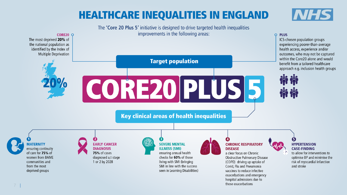## **HEALTHCARE INEQUALITIES IN ENGLAND**

**NHS** 

The 'Core 20 Plus 5' initiative is designed to drive targeted health inequalities improvements in the following areas:

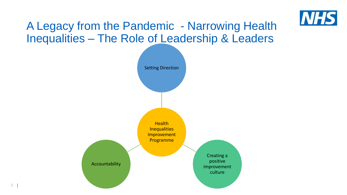

## A Legacy from the Pandemic - Narrowing Health Inequalities – The Role of Leadership & Leaders

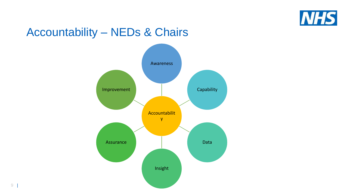

## **Accountability - NEDs & Chairs**